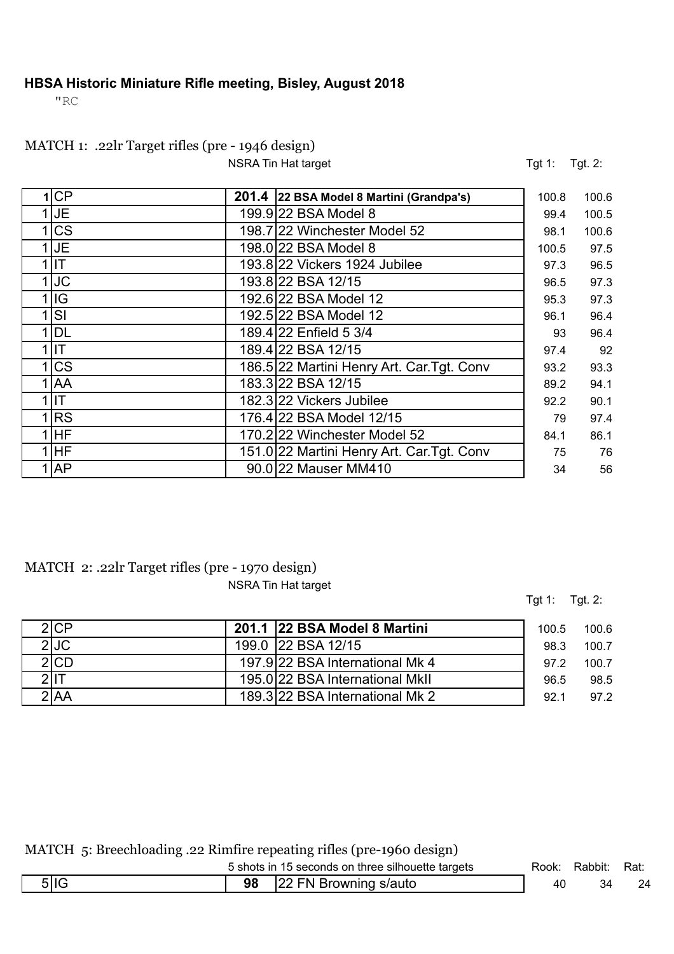#### **HBSA Historic Miniature Rifle meeting, Bisley, August 2018**

"RC

## MATCH 1: .22lr Target rifles (pre - 1946 design)

NSRA Tin Hat target Tgt. 2:

| 1 CP       | 201.4 22 BSA Model 8 Martini (Grandpa's)   | 100.8 | 100.6 |
|------------|--------------------------------------------|-------|-------|
| IJΕ        | 199.9 22 BSA Model 8                       | 99.4  | 100.5 |
| CS         | 198.7 22 Winchester Model 52               | 98.1  | 100.6 |
| <b>JE</b>  | 198.0 22 BSA Model 8                       | 100.5 | 97.5  |
| lIT.       | 193.8 22 Vickers 1924 Jubilee              | 97.3  | 96.5  |
| <b>JC</b>  | 193.8 22 BSA 12/15                         | 96.5  | 97.3  |
| lig        | 192.6 22 BSA Model 12                      | 95.3  | 97.3  |
| lSI        | 192.5 22 BSA Model 12                      | 96.1  | 96.4  |
| DL         | 189.4 22 Enfield 5 3/4                     | 93    | 96.4  |
| IІT        | 189.4 22 BSA 12/15                         | 97.4  | 92    |
| <b>CS</b>  | 186.5 22 Martini Henry Art. Car. Tgt. Conv | 93.2  | 93.3  |
| <b>JAA</b> | 183.3 22 BSA 12/15                         | 89.2  | 94.1  |
| lit        | 182.3 22 Vickers Jubilee                   | 92.2  | 90.1  |
| RS         | 176.4 22 BSA Model 12/15                   | 79    | 97.4  |
| <b>IHF</b> | 170.2 22 Winchester Model 52               | 84.1  | 86.1  |
| <b>IHF</b> | 151.0 22 Martini Henry Art. Car. Tgt. Conv | 75    | 76    |
| <b>AP</b>  | 90.0 22 Mauser MM410                       | 34    | 56    |

#### MATCH 2: .22lr Target rifles (pre - 1970 design) NSRA Tin Hat target

Tgt 1: Tgt. 2:

| 2ICP | 201.1 22 BSA Model 8 Martini    | 100.5 | 100.6 |
|------|---------------------------------|-------|-------|
| 2 JC | 199.0 22 BSA 12/15              | 98.3  | 100.7 |
| 2 CD | 197.9 22 BSA International Mk 4 | 972   | 100.7 |
|      | 195.0 22 BSA International MkII | 96.5  | 98.5  |
| NAl' | 189.3 22 BSA International Mk 2 | 92.1  | 97.2  |

MATCH 5: Breechloading .22 Rimfire repeating rifles (pre-1960 design)

|        | 5 shots in 15 seconds on three silhouette targets | Rook: | Rabbit: | Rat: |
|--------|---------------------------------------------------|-------|---------|------|
| 5   IG | 98 22 FN Browning s/auto                          | 40    |         | 24   |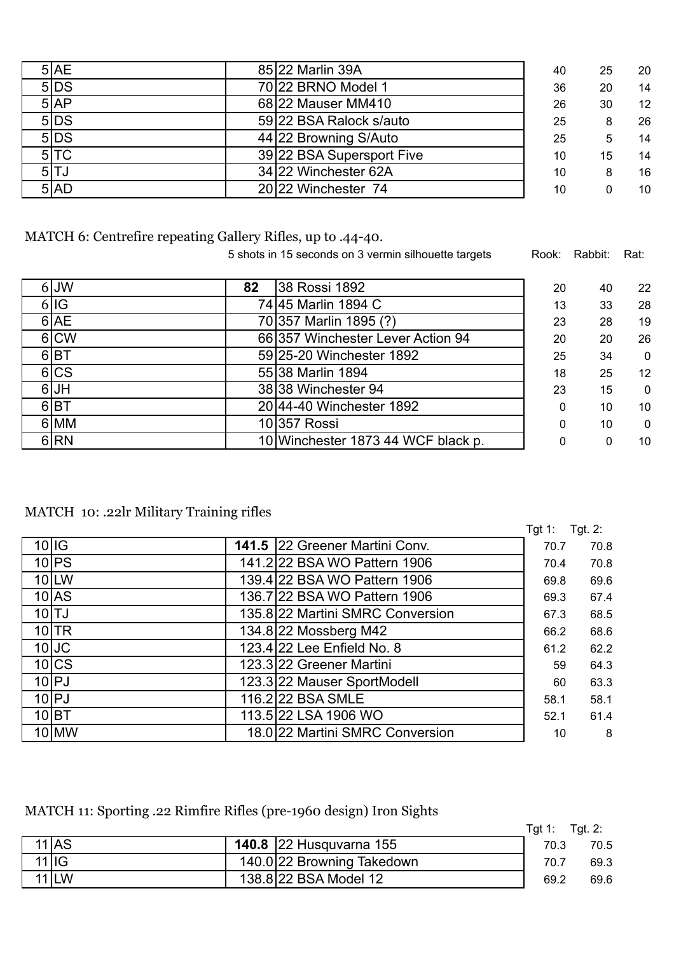| 5 AE   | 85 22 Marlin 39A          | 40 | 25 | 20 |
|--------|---------------------------|----|----|----|
| 5 DS   | 70 22 BRNO Model 1        | 36 | 20 | 14 |
| 5AP    | 68 22 Mauser MM410        | 26 | 30 | 12 |
| 5 DS   | 59 22 BSA Ralock s/auto   | 25 | 8  | 26 |
| 5DS    | 44 22 Browning S/Auto     | 25 | 5  | 14 |
| $5$ TC | 39 22 BSA Supersport Five | 10 | 15 | 14 |
| 5 TJ   | 34 22 Winchester 62A      | 10 | 8  | 16 |
| 5 AD   | 20 22 Winchester 74       | 10 | 0  | 10 |

MATCH 6: Centrefire repeating Gallery Rifles, up to .44-40.

5 shots in 15 seconds on 3 vermin silhouette targets Rook: Rabbit: Rat:

| $6$ JW           | 82 | 38 Rossi 1892                      | 20       | 40 | 22           |
|------------------|----|------------------------------------|----------|----|--------------|
| 6 IG             |    | 74 45 Marlin 1894 C                | 13       | 33 | 28           |
| 6 AE             |    | 70 357 Marlin 1895 (?)             | 23       | 28 | 19           |
| 6 CW             |    | 66 357 Winchester Lever Action 94  | 20       | 20 | 26           |
| 6 <sub>IBT</sub> |    | 59 25-20 Winchester 1892           | 25       | 34 | $\mathbf{0}$ |
| 6 CS             |    | 55 38 Marlin 1894                  | 18       | 25 | 12           |
| $6$ UH           |    | 38 38 Winchester 94                | 23       | 15 | $\mathbf{0}$ |
| 6 <sub>IBT</sub> |    | 20 44-40 Winchester 1892           | $\Omega$ | 10 | 10           |
| 6 MM             |    | 10357 Rossi                        | 0        | 10 | $\mathbf{0}$ |
| 6 RN             |    | 10 Winchester 1873 44 WCF black p. | 0        | 0  | 10           |

MATCH 10: .22lr Military Training rifles

|                    |                                  | Tgt 1: | Tgt. $2:$ |
|--------------------|----------------------------------|--------|-----------|
| $10$ IG            | 141.5 22 Greener Martini Conv.   | 70.7   | 70.8      |
| 10 <sub>l</sub> PS | 141.2 22 BSA WO Pattern 1906     | 70.4   | 70.8      |
| 10LW               | 139.4 22 BSA WO Pattern 1906     | 69.8   | 69.6      |
| $10$ $AS$          | 136.7 22 BSA WO Pattern 1906     | 69.3   | 67.4      |
| $10$ $TJ$          | 135.8 22 Martini SMRC Conversion | 67.3   | 68.5      |
| $10$ TR            | 134.8 22 Mossberg M42            | 66.2   | 68.6      |
| $10$ JC            | 123.4 22 Lee Enfield No. 8       | 61.2   | 62.2      |
| 10 CS              | 123.3 22 Greener Martini         | 59     | 64.3      |
| $10$ $P$ J         | 123.3 22 Mauser SportModell      | 60     | 63.3      |
| 10 PJ              | 116.2 22 BSA SMLE                | 58.1   | 58.1      |
| 10 BT              | 113.5 22 LSA 1906 WO             | 52.1   | 61.4      |
| $10$ MW            | 18.0 22 Martini SMRC Conversion  | 10     | 8         |

MATCH 11: Sporting .22 Rimfire Rifles (pre-1960 design) Iron Sights

|                    |                                |      | Tgt 1: $Tgt 2$ : |
|--------------------|--------------------------------|------|------------------|
| $11$ $AS$          | <b>140.8</b> 22 Husquvarna 155 | 70.3 | 70.5             |
| $\overline{11}$ IG | 140.0 22 Browning Takedown     | 70.7 | 69.3             |
| $11$ LW            | 138.8 22 BSA Model 12          | 69.2 | 69.6             |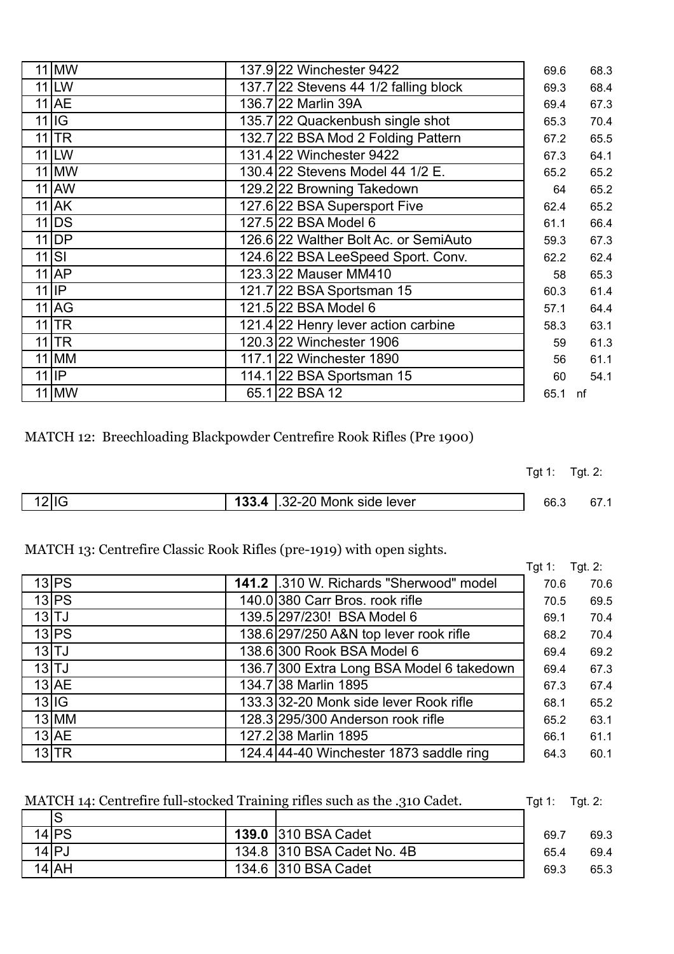| $11$ MW                     | 137.9 22 Winchester 9422              | 69.6 | 68.3 |
|-----------------------------|---------------------------------------|------|------|
| $11$ LW                     | 137.7 22 Stevens 44 1/2 falling block | 69.3 | 68.4 |
| $11$ AE                     | 136.7 22 Marlin 39A                   | 69.4 | 67.3 |
| $11$ IG                     | 135.7 22 Quackenbush single shot      | 65.3 | 70.4 |
| $11$ TR                     | 132.7 22 BSA Mod 2 Folding Pattern    | 67.2 | 65.5 |
| $11$ LW                     | 131.4 22 Winchester 9422              | 67.3 | 64.1 |
| $11$ MW                     | 130.4 22 Stevens Model 44 1/2 E.      | 65.2 | 65.2 |
| $11$ AW                     | 129.2 22 Browning Takedown            | 64   | 65.2 |
| $11$ AK                     | 127.6 22 BSA Supersport Five          | 62.4 | 65.2 |
| $11$ DS                     | 127.5 22 BSA Model 6                  | 61.1 | 66.4 |
| $11$ DP                     | 126.6 22 Walther Bolt Ac. or SemiAuto | 59.3 | 67.3 |
| $11$ $\overline{\text{SI}}$ | 124.6 22 BSA LeeSpeed Sport. Conv.    | 62.2 | 62.4 |
| $11$ $AP$                   | 123.3 22 Mauser MM410                 | 58   | 65.3 |
| $11$  IP                    | 121.7 22 BSA Sportsman 15             | 60.3 | 61.4 |
| $11$ $AG$                   | 121.5 22 BSA Model 6                  | 57.1 | 64.4 |
| $11$ TR                     | 121.4 22 Henry lever action carbine   | 58.3 | 63.1 |
| $11$ TR                     | 120.3 22 Winchester 1906              | 59   | 61.3 |
| $11$ MM                     | 117.1 22 Winchester 1890              | 56   | 61.1 |
| $11$  IP                    | 114.1 22 BSA Sportsman 15             | 60   | 54.1 |
| $11$ MW                     | 65.1 22 BSA 12                        | 65.1 | nf   |

MATCH 12: Breechloading Blackpowder Centrefire Rook Rifles (Pre 1900)

Tgt 1: Tgt. 2:

| $\sim$ |  | 32-20<br>Monk side lever<br>JZ. | ن.0b | 67. . |
|--------|--|---------------------------------|------|-------|
|        |  |                                 |      |       |

### MATCH 13: Centrefire Classic Rook Rifles (pre-1919) with open sights.

|                   |                                           | Tgt 1: | Tgt. 2: |
|-------------------|-------------------------------------------|--------|---------|
| 13 <sub>IPS</sub> | 141.2 .310 W. Richards "Sherwood" model   | 70.6   | 70.6    |
| $13$ $PS$         | 140.0 380 Carr Bros. rook rifle           | 70.5   | 69.5    |
| 13 TJ             | 139.5 297/230! BSA Model 6                | 69.1   | 70.4    |
| $13$ $PS$         | 138.6 297/250 A&N top lever rook rifle    | 68.2   | 70.4    |
| $13$ $TJ$         | 138.6 300 Rook BSA Model 6                | 69.4   | 69.2    |
| $13$ $TJ$         | 136.7 300 Extra Long BSA Model 6 takedown | 69.4   | 67.3    |
| $13$ $AE$         | 134.7 38 Marlin 1895                      | 67.3   | 67.4    |
| $13$ IG           | 133.3 32-20 Monk side lever Rook rifle    | 68.1   | 65.2    |
| $13$ MM           | 128.3 295/300 Anderson rook rifle         | 65.2   | 63.1    |
| $13$ $AE$         | 127.2 38 Marlin 1895                      | 66.1   | 61.1    |
| 13 TR             | 124.4 44-40 Winchester 1873 saddle ring   | 64.3   | 60.1    |

|            | MATCH 14: Centrefire full-stocked Training rifles such as the .310 Cadet. | Tgt 1: $Tgt 2$ : |      |
|------------|---------------------------------------------------------------------------|------------------|------|
|            |                                                                           |                  |      |
| $14$ PS    | <b>139.0 310 BSA Cadet</b>                                                | 69.7             | 69.3 |
| $14$ $P$ J | 134.8 310 BSA Cadet No. 4B                                                | 65.4             | 69.4 |
| $14$ $AH$  | 134.6 310 BSA Cadet                                                       | 69.3             | 65.3 |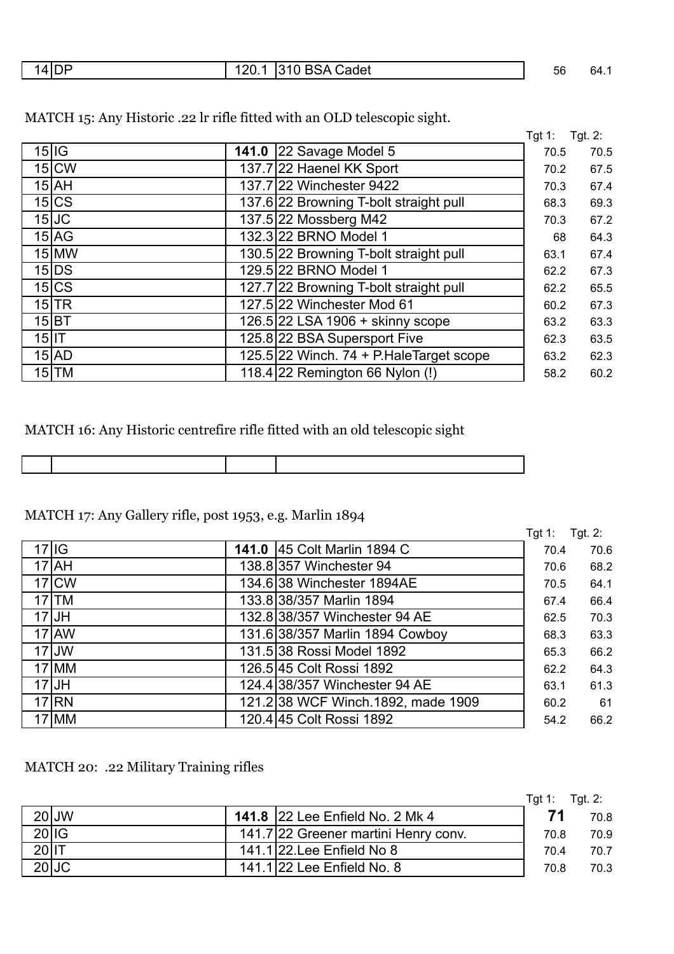|  | ╺ |  | കadet<br>אר.ר<br>. | $\overline{r}$<br>56 | - 64.<br>$\sim$ $\sim$ $\sim$ $\sim$ $\sim$ $\sim$ $\sim$ |
|--|---|--|--------------------|----------------------|-----------------------------------------------------------|
|--|---|--|--------------------|----------------------|-----------------------------------------------------------|

|          |           |                                         | Tgt 1: | Tgt. 2: |
|----------|-----------|-----------------------------------------|--------|---------|
|          | $15$ IG   | <b>141.0 22 Savage Model 5</b>          | 70.5   | 70.5    |
|          | $15$ CW   | 137.7 22 Haenel KK Sport                | 70.2   | 67.5    |
|          | $15$ $AH$ | 137.7 22 Winchester 9422                | 70.3   | 67.4    |
|          | 15 CS     | 137.6 22 Browning T-bolt straight pull  | 68.3   | 69.3    |
|          | $15$ JC   | 137.5 22 Mossberg M42                   | 70.3   | 67.2    |
|          | $15$ $AG$ | 132.3 22 BRNO Model 1                   | 68     | 64.3    |
|          | $15$ MW   | 130.5 22 Browning T-bolt straight pull  | 63.1   | 67.4    |
|          | $15$ DS   | 129.5 22 BRNO Model 1                   | 62.2   | 67.3    |
|          | 15 CS     | 127.7 22 Browning T-bolt straight pull  | 62.2   | 65.5    |
|          | $15$ TR   | 127.5 22 Winchester Mod 61              | 60.2   | 67.3    |
|          | 15 BT     | 126.5 22 LSA 1906 + skinny scope        | 63.2   | 63.3    |
| $15$  IT |           | 125.8 22 BSA Supersport Five            | 62.3   | 63.5    |
|          | $15$ $AD$ | 125.5 22 Winch. 74 + P.HaleTarget scope | 63.2   | 62.3    |
|          | $15$ TM   | 118.4 22 Remington 66 Nylon (!)         | 58.2   | 60.2    |

MATCH 15: Any Historic .22 lr rifle fitted with an OLD telescopic sight.

### MATCH 16: Any Historic centrefire rifle fitted with an old telescopic sight

# MATCH 17: Any Gallery rifle, post 1953, e.g. Marlin 1894

|                    |                                     | Tgt 1: | Tgt. $2:$ |
|--------------------|-------------------------------------|--------|-----------|
| $17$ IG            | 141.0 45 Colt Marlin 1894 C         | 70.4   | 70.6      |
| $17$ $AH$          | 138.8 357 Winchester 94             | 70.6   | 68.2      |
| 17 <sub>I</sub> CW | 134.6 38 Winchester 1894AE          | 70.5   | 64.1      |
| $17$ TM            | 133.8 38/357 Marlin 1894            | 67.4   | 66.4      |
| $17$ JH            | 132.8 38/357 Winchester 94 AE       | 62.5   | 70.3      |
| $17$ AW            | 131.6 38/357 Marlin 1894 Cowboy     | 68.3   | 63.3      |
| $17$ JW            | 131.5 38 Rossi Model 1892           | 65.3   | 66.2      |
| 17 MM              | 126.5 45 Colt Rossi 1892            | 62.2   | 64.3      |
| $17$ JH            | 124.4 38/357 Winchester 94 AE       | 63.1   | 61.3      |
| 17 RN              | 121.2 38 WCF Winch. 1892, made 1909 | 60.2   | 61        |
| $17$ MM            | 120.4 45 Colt Rossi 1892            | 54.2   | 66.2      |

### MATCH 20: .22 Military Training rifles

|         |       |                                      | $Tgt 1:$ $Tgt 2:$ |      |
|---------|-------|--------------------------------------|-------------------|------|
|         | 20JJW | 141.8 22 Lee Enfield No. 2 Mk 4      | 71                | 70.8 |
| 20 IG   |       | 141.7 22 Greener martini Henry conv. | 70.8              | 70.9 |
| $20$ IT |       | 141.1 22. Lee Enfield No 8           | 70.4              | 70.7 |
| $20$ JC |       | 141.1 22 Lee Enfield No. 8           | 70.8              | 70.3 |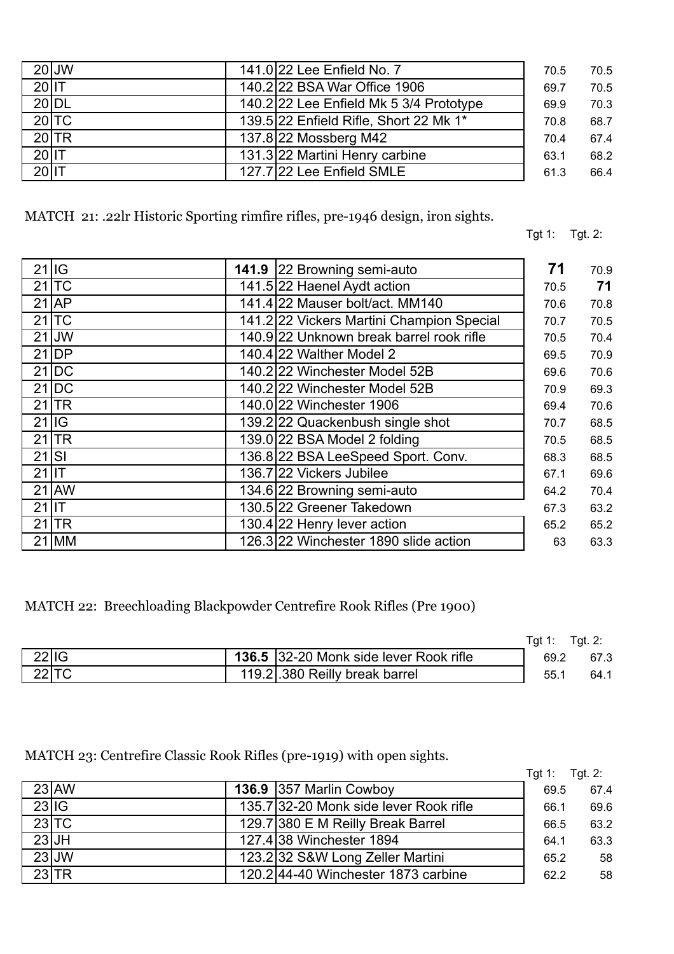| $20$ JW<br>141.0 22 Lee Enfield No. 7             | 70.5 | 70.5 |
|---------------------------------------------------|------|------|
|                                                   |      |      |
| $20$ IT<br>140.2 22 BSA War Office 1906           | 69.7 | 70.5 |
| 20 DL<br>140.2 22 Lee Enfield Mk 5 3/4 Prototype  | 69.9 | 70.3 |
| $20$ TC<br>139.5 22 Enfield Rifle, Short 22 Mk 1* | 70.8 | 68.7 |
| $20$ TR<br>137.8 22 Mossberg M42                  | 70.4 | 67.4 |
| $20$ IT<br>131.3 22 Martini Henry carbine         | 63.1 | 68.2 |
| $20$ IT<br>127.7 22 Lee Enfield SMLE              | 61.3 | 66.4 |

MATCH 21: .22lr Historic Sporting rimfire rifles, pre-1946 design, iron sights.

Tgt 1: Tgt. 2:

|          | $21$ IG   | 141.9 22 Browning semi-auto               | 71   | 70.9 |
|----------|-----------|-------------------------------------------|------|------|
|          | $21$ TC   | 141.5 22 Haenel Aydt action               | 70.5 | 71   |
|          | $21$ AP   | 141.4 22 Mauser bolt/act. MM140           | 70.6 | 70.8 |
|          | $21$ TC   | 141.2 22 Vickers Martini Champion Special | 70.7 | 70.5 |
|          | $21$ JW   | 140.9 22 Unknown break barrel rook rifle  | 70.5 | 70.4 |
|          | $21$ DP   | 140.4 22 Walther Model 2                  | 69.5 | 70.9 |
|          | $21$ DC   | 140.2 22 Winchester Model 52B             | 69.6 | 70.6 |
|          | $21$ DC   | 140.2 22 Winchester Model 52B             | 70.9 | 69.3 |
|          | $21$ TR   | 140.0 22 Winchester 1906                  | 69.4 | 70.6 |
|          | $21$ IG   | 139.2 22 Quackenbush single shot          | 70.7 | 68.5 |
|          | $21$ TR   | 139.0 22 BSA Model 2 folding              | 70.5 | 68.5 |
| 21       | <b>SI</b> | 136.8 22 BSA LeeSpeed Sport. Conv.        | 68.3 | 68.5 |
| $21$  IT |           | 136.7 22 Vickers Jubilee                  | 67.1 | 69.6 |
|          | $21$ AW   | 134.6 22 Browning semi-auto               | 64.2 | 70.4 |
| $21$  IT |           | 130.5 22 Greener Takedown                 | 67.3 | 63.2 |
|          | $21$ TR   | 130.4 22 Henry lever action               | 65.2 | 65.2 |
|          | $21$ MM   | 126.3 22 Winchester 1890 slide action     | 63   | 63.3 |

MATCH 22: Breechloading Blackpowder Centrefire Rook Rifles (Pre 1900)

|       |         |                                               | Tat 1: | Tgt. 2: |
|-------|---------|-----------------------------------------------|--------|---------|
| 22 IG |         | <b>136.5</b> 32-20 Monk side lever Rook rifle | 69.2   | 67.3    |
|       | $22$ TC | 119.2.380 Reilly break barrel                 | 55.1   | 64.1    |

MATCH 23: Centrefire Classic Rook Rifles (pre-1919) with open sights.

|       |         |                                        | Tgt 1: | Tgt. $2$ : |
|-------|---------|----------------------------------------|--------|------------|
|       | 23 AW   | 136.9 357 Marlin Cowboy                | 69.5   | 67.4       |
| 23 IG |         | 135.7 32-20 Monk side lever Rook rifle | 66.1   | 69.6       |
|       | $23$ TC | 129.7 380 E M Reilly Break Barrel      | 66.5   | 63.2       |
|       | $23$ JH | 127.4 38 Winchester 1894               | 64.1   | 63.3       |
|       | $23$ JW | 123.2 32 S&W Long Zeller Martini       | 65.2   | 58         |
|       | $23$ TR | 120.2 44-40 Winchester 1873 carbine    | 62.2   | 58         |